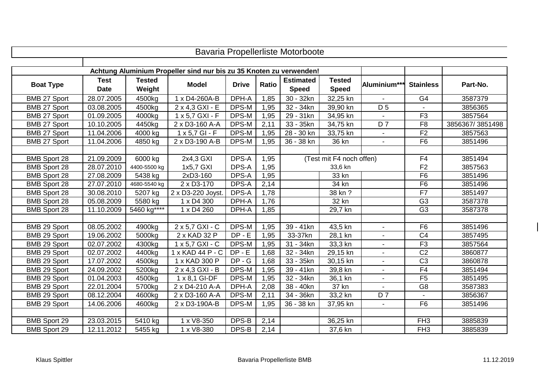|                     |             |               |                                                                     |              |              | Bavaria Propellerliste Motorboote |                          |                |                  |                 |
|---------------------|-------------|---------------|---------------------------------------------------------------------|--------------|--------------|-----------------------------------|--------------------------|----------------|------------------|-----------------|
|                     |             |               |                                                                     |              |              |                                   |                          |                |                  |                 |
|                     |             |               | Achtung Aluminium Propeller sind nur bis zu 35 Knoten zu verwenden! |              |              |                                   |                          |                |                  |                 |
| <b>Boat Type</b>    | <b>Test</b> | <b>Tested</b> | <b>Model</b>                                                        | <b>Drive</b> | <b>Ratio</b> | <b>Estimated</b>                  | <b>Tested</b>            | Aluminium***   | <b>Stainless</b> | Part-No.        |
|                     | <b>Date</b> | Weight        |                                                                     |              |              | <b>Speed</b>                      | <b>Speed</b>             |                |                  |                 |
| BMB 27 Sport        | 28.07.2005  | 4500kg        | 1 x D4-260A-B                                                       | DPH-A        | 1,85         | 30 - 32kn                         | 32,25 kn                 |                | G <sub>4</sub>   | 3587379         |
| BMB 27 Sport        | 03.08.2005  | 4500kg        | 2 x 4,3 GXI - E                                                     | DPS-M        | 1,95         | $32 - 34kn$                       | 39,90 kn                 | D <sub>5</sub> |                  | 3856365         |
| BMB 27 Sport        | 01.09.2005  | 4000kg        | 1 x 5,7 GXI - F                                                     | DPS-M        | 1,95         | 29 - 31kn                         | 34,95 kn                 |                | F <sub>3</sub>   | 3857564         |
| BMB 27 Sport        | 10.10.2005  | 4450kg        | 2 x D3-160 A-A                                                      | DPS-M        | 2,11         | 33 - 35kn                         | 34,75 kn                 | D <sub>7</sub> | F <sub>8</sub>   | 3856367/3851498 |
| BMB 27 Sport        | 11.04.2006  | 4000 kg       | $1 x 5,7 G1 - F$                                                    | DPS-M        | 1,95         | 28 - 30 kn                        | 33,75 kn                 |                | F2               | 3857563         |
| BMB 27 Sport        | 11.04.2006  | 4850 kg       | 2 x D3-190 A-B                                                      | DPS-M        | 1,95         | 36 - 38 kn                        | 36 kn                    |                | F6               | 3851496         |
|                     |             |               |                                                                     |              |              |                                   |                          |                |                  |                 |
| <b>BMB Sport 28</b> | 21.09.2009  | 6000 kg       | 2x4,3 GXI                                                           | DPS-A        | 1,95         |                                   | (Test mit F4 noch offen) |                | F <sub>4</sub>   | 3851494         |
| <b>BMB Sport 28</b> | 28.07.2010  | 4400-5500 kg  | 1x5,7 GXI                                                           | DPS-A        | 1,95         |                                   | 33,6 kn                  | F <sub>2</sub> | 3857563          |                 |
| <b>BMB Sport 28</b> | 27.08.2009  | 5438 kg       | 2xD3-160                                                            | DPS-A        | 1,95         | 33 kn                             |                          | F6             | 3851496          |                 |
| <b>BMB Sport 28</b> | 27.07.2010  | 4680-5540 kg  | 2 x D3-170                                                          | DPS-A        | 2,14         |                                   | 34 kn                    |                | F <sub>6</sub>   | 3851496         |
| <b>BMB Sport 28</b> | 30.08.2010  | 5207 kg       | 2 x D3-220 Joyst.                                                   | DPS-A        | 1,78         |                                   | 38 kn ?                  |                | F7               | 3851497         |
| <b>BMB Sport 28</b> | 05.08.2009  | 5580 kg       | 1 x D4 300                                                          | DPH-A        | 1,76         |                                   | 32 kn                    |                | G <sub>3</sub>   | 3587378         |
| <b>BMB Sport 28</b> | 11.10.2009  | 5460 kg****   | 1 x D4 260                                                          | DPH-A        | 1,85         |                                   | 29,7 kn                  |                | G <sub>3</sub>   | 3587378         |
|                     |             |               |                                                                     |              |              |                                   |                          |                |                  |                 |
| BMB 29 Sport        | 08.05.2002  | 4900kg        | $2 \times 5,7$ GXI - C                                              | DPS-M        | 1,95         | $39 - 41kn$                       | 43,5 kn                  |                | F6               | 3851496         |
| BMB 29 Sport        | 19.06.2002  | 5000kg        | 2 x KAD 32 P                                                        | $DP - E$     | 1,95         | 33-37kn                           | 28,1 kn                  |                | C <sub>4</sub>   | 3857495         |
| BMB 29 Sport        | 02.07.2002  | 4300kg        | 1 x 5,7 GXI - C                                                     | DPS-M        | 1,95         | 31 - 34kn                         | 33,3 kn                  |                | F <sub>3</sub>   | 3857564         |
| BMB 29 Sport        | 02.07.2002  | 4400kg        | 1 x KAD 44 P - C                                                    | $DP - E$     | 1,68         | 32 - 34kn                         | 29,15 kn                 |                | C <sub>2</sub>   | 3860877         |
| BMB 29 Sport        | 17.07.2002  | 4500kg        | 1 x KAD 300 P                                                       | $DP - G$     | 1,68         | 33 - 35kn                         | 30,15 kn                 |                | $\overline{C3}$  | 3860878         |
| BMB 29 Sport        | 24.09.2002  | 5200kg        | 2 x 4,3 GXI - B                                                     | DPS-M        | 1,95         | 39 - 41kn                         | 39,8 kn                  |                | F4               | 3851494         |
| BMB 29 Sport        | 01.04.2003  | 4500kg        | 1 x 8,1 GI-DF                                                       | DPS-M        | 1,95         | 32 - 34kn                         | 36,1 kn                  |                | F <sub>5</sub>   | 3851495         |
| BMB 29 Sport        | 22.01.2004  | 5700kg        | 2 x D4-210 A-A                                                      | DPH-A        | 2,08         | 38 - 40kn                         | 37 kn                    |                | G <sub>8</sub>   | 3587383         |
| BMB 29 Sport        | 08.12.2004  | 4600kg        | 2 x D3-160 A-A                                                      | DPS-M        | 2,11         | 34 - 36kn                         | 33,2 kn                  | D <sub>7</sub> |                  | 3856367         |
| BMB 29 Sport        | 14.06.2006  | 4600kg        | 2 x D3-190A-B                                                       | DPS-M        | 1,95         | $36 - 38$ kn                      | $37,95$ kn               |                | F6               | 3851496         |
|                     |             |               |                                                                     |              |              |                                   |                          |                |                  |                 |
| <b>BMB Sport 29</b> | 23.03.2015  | 5410 kg       | 1 x V8-350                                                          | DPS-B        | 2,14         |                                   | 36,25 kn                 |                | FH <sub>3</sub>  | 3885839         |
| <b>BMB Sport 29</b> | 12.11.2012  | 5455 kg       | 1 x V8-380                                                          | DPS-B        | 2,14         |                                   | 37,6 kn                  |                | FH <sub>3</sub>  | 3885839         |

 $\mathbf{I}$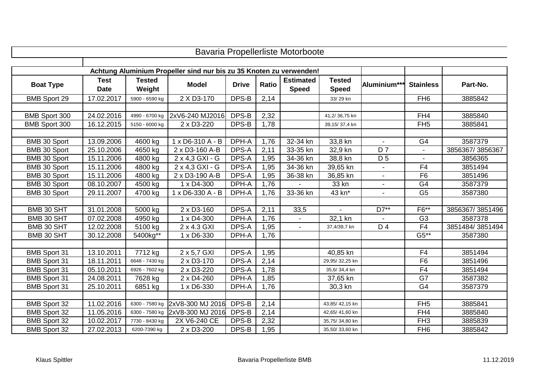| Bavaria Propellerliste Motorboote |             |                |                                                                     |              |              |                  |                |                 |                  |                 |  |  |
|-----------------------------------|-------------|----------------|---------------------------------------------------------------------|--------------|--------------|------------------|----------------|-----------------|------------------|-----------------|--|--|
|                                   |             |                |                                                                     |              |              |                  |                |                 |                  |                 |  |  |
|                                   |             |                | Achtung Aluminium Propeller sind nur bis zu 35 Knoten zu verwenden! |              |              |                  |                |                 |                  |                 |  |  |
| <b>Boat Type</b>                  | <b>Test</b> | <b>Tested</b>  | <b>Model</b>                                                        | <b>Drive</b> | <b>Ratio</b> | <b>Estimated</b> | <b>Tested</b>  | Aluminium**     | <b>Stainless</b> | Part-No.        |  |  |
|                                   | <b>Date</b> | Weight         |                                                                     |              |              | <b>Speed</b>     | <b>Speed</b>   |                 |                  |                 |  |  |
| <b>BMB Sport 29</b>               | 17.02.2017  | 5900 - 6590 kg | 2 X D3-170                                                          | DPS-B        | 2,14         |                  | 33/29 kn       |                 | FH <sub>6</sub>  | 3885842         |  |  |
|                                   |             |                |                                                                     |              |              |                  |                |                 |                  |                 |  |  |
| BMB Sport 300                     | 24.02.2016  | 4990 - 6700 kg | 2xV6-240 MJ2016                                                     | DPS-B        | 2,32         |                  | 41,2/36,75 kn  |                 | FH4              | 3885840         |  |  |
| BMB Sport 300                     | 16.12.2015  | 5150 - 6000 kg | 2 x D3-220                                                          | DPS-B        | 1,78         |                  | 39,15/37,4 kn  |                 | FH <sub>5</sub>  | 3885841         |  |  |
|                                   |             |                |                                                                     |              |              |                  |                |                 |                  |                 |  |  |
| BMB 30 Sport                      | 13.09.2006  | 4600 kg        | $1 \times D6 - 310 A - B$                                           | DPH-A        | 1,76         | 32-34 kn         | 33,8 kn        | $\omega$        | $\overline{G4}$  | 3587379         |  |  |
| BMB 30 Sport                      | 25.10.2006  | 4650 kg        | 2 x D3-160 A-B                                                      | DPS-A        | 2,11         | 33-35 kn         | 32,9 kn        | $\overline{D7}$ |                  | 3856367/3856367 |  |  |
| BMB 30 Sport                      | 15.11.2006  | 4800 kg        | 2 x 4,3 GXI - G                                                     | DPS-A        | 1,95         | 34-36 kn         | 38,8 kn        | D <sub>5</sub>  |                  | 3856365         |  |  |
| BMB 30 Sport                      | 15.11.2006  | 4800 kg        | 2 x 4,3 GXI - G                                                     | DPS-A        | 1,95         | 34-36 kn         | 39,65 kn       |                 | F <sub>4</sub>   | 3851494         |  |  |
| BMB 30 Sport                      | 15.11.2006  | 4800 kg        | 2 x D3-190 A-B                                                      | DPS-A        | 1,95         | 36-38 kn         | 36,85 kn       | $\blacksquare$  | F <sub>6</sub>   | 3851496         |  |  |
| BMB 30 Sport                      | 08.10.2007  | 4500 kg        | 1 x D4-300                                                          | DPH-A        | 1,76         |                  | 33 kn          |                 | G4               | 3587379         |  |  |
| <b>BMB 30 Sport</b>               | 29.11.2007  | 4700 kg        | 1 x D6-330 A - B                                                    | DPH-A        | 1,76         | 33-36 kn         | 43 kn*         |                 | G <sub>5</sub>   | 3587380         |  |  |
|                                   |             |                |                                                                     |              |              |                  |                |                 |                  |                 |  |  |
| BMB 30 SHT                        | 31.01.2008  | 5000 kg        | 2 x D3-160                                                          | DPS-A        | 2,11         | 33,5             | $\blacksquare$ | D7**            | F6**             | 3856367/3851496 |  |  |
| BMB 30 SHT                        | 07.02.2008  | 4950 kg        | 1 x D4-300                                                          | DPH-A        | 1,76         | $\blacksquare$   | 32,1 kn        |                 | G <sub>3</sub>   | 3587378         |  |  |
| BMB 30 SHT                        | 12.02.2008  | 5100 kg        | 2 x 4.3 GXI                                                         | DPS-A        | 1,95         |                  | 37,4/39,7 kn   | D 4             | F4               | 3851484/3851494 |  |  |
| BMB 30 SHT                        | 30.12.2008  | 5400kg**       | 1 x D6-330                                                          | DPH-A        | 1,76         |                  |                |                 | $G5**$           | 3587380         |  |  |
|                                   |             |                |                                                                     |              |              |                  |                |                 |                  |                 |  |  |
| <b>BMB Sport 31</b>               | 13.10.2011  | 7712 kg        | 2 x 5,7 GXI                                                         | DPS-A        | 1,95         |                  | 40,85 kn       |                 | F <sub>4</sub>   | 3851494         |  |  |
| <b>BMB Sport 31</b>               | 18.11.2011  | 6648 - 7430 kg | 2 x D3-170                                                          | DPS-A        | 2,14         |                  | 29,95/32,25 kn |                 | F <sub>6</sub>   | 3851496         |  |  |
| <b>BMB Sport 31</b>               | 05.10.2011  | 6926 - 7602 kg | 2 x D3-220                                                          | DPS-A        | 1,78         |                  | 35,6/34,4 kn   |                 | F <sub>4</sub>   | 3851494         |  |  |
| <b>BMB Sport 31</b>               | 24.08.2011  | 7628 kg        | 2 x D4-260                                                          | DPH-A        | 1,85         |                  | 37,65 kn       |                 | G7               | 3587382         |  |  |
| <b>BMB Sport 31</b>               | 25.10.2011  | 6851 kg        | 1 x D6-330                                                          | DPH-A        | 1,76         |                  | 30,3 kn        |                 | G <sub>4</sub>   | 3587379         |  |  |
|                                   |             |                |                                                                     |              |              |                  |                |                 |                  |                 |  |  |
| <b>BMB</b> Sport 32               | 11.02.2016  | 6300 - 7580 kg | 2xV8-300 MJ 2016                                                    | DPS-B        | 2,14         |                  | 43,85/42,15 kn |                 | FH5              | 3885841         |  |  |
| <b>BMB Sport 32</b>               | 11.05.2016  |                | 6300 - 7580 kg 2xV8-300 MJ 2016                                     | DPS-B        | 2,14         |                  | 42,65/41,60 kn |                 | FH4              | 3885840         |  |  |
| <b>BMB Sport 32</b>               | 10.02.2017  | 7730 - 8430 kg | 2X V6-240 CE                                                        | DPS-B        | 2,32         |                  | 35,75/34,80 kn |                 | FH <sub>3</sub>  | 3885839         |  |  |
| <b>BMB Sport 32</b>               | 27.02.2013  | 6200-7390 kg   | 2 x D3-200                                                          | DPS-B        | 1,95         |                  | 35,50/33,60 kn |                 | FH <sub>6</sub>  | 3885842         |  |  |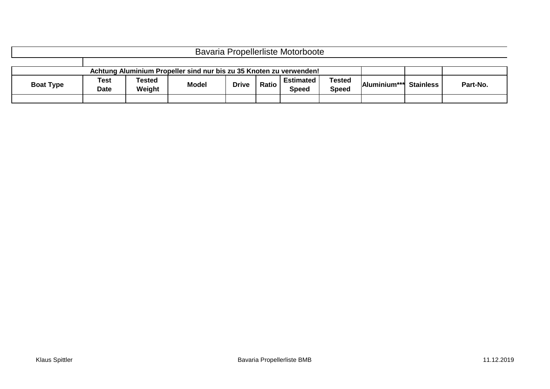| Bavaria Propellerliste Motorboote                                   |                            |                         |              |              |              |                                  |                               |              |                  |          |  |
|---------------------------------------------------------------------|----------------------------|-------------------------|--------------|--------------|--------------|----------------------------------|-------------------------------|--------------|------------------|----------|--|
|                                                                     |                            |                         |              |              |              |                                  |                               |              |                  |          |  |
| Achtung Aluminium Propeller sind nur bis zu 35 Knoten zu verwenden! |                            |                         |              |              |              |                                  |                               |              |                  |          |  |
| <b>Boat Type</b>                                                    | <b>Test</b><br><b>Date</b> | <b>Tested</b><br>Weight | <b>Model</b> | <b>Drive</b> | <b>Ratio</b> | <b>Estimated</b><br><b>Speed</b> | <b>Tested</b><br><b>Speed</b> | Aluminium*** | <b>Stainless</b> | Part-No. |  |
|                                                                     |                            |                         |              |              |              |                                  |                               |              |                  |          |  |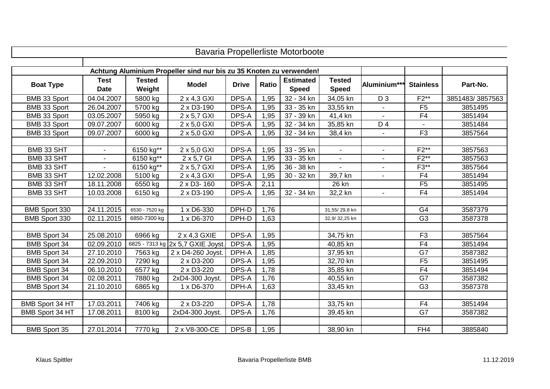|                        |             |                |                                                                     |              |              | Bavaria Propellerliste Motorboote |                |                |                  |                 |
|------------------------|-------------|----------------|---------------------------------------------------------------------|--------------|--------------|-----------------------------------|----------------|----------------|------------------|-----------------|
|                        |             |                |                                                                     |              |              |                                   |                |                |                  |                 |
|                        |             |                | Achtung Aluminium Propeller sind nur bis zu 35 Knoten zu verwenden! |              |              |                                   |                |                |                  |                 |
| <b>Boat Type</b>       | <b>Test</b> | <b>Tested</b>  | <b>Model</b>                                                        | <b>Drive</b> | <b>Ratio</b> | <b>Estimated</b>                  | <b>Tested</b>  | Aluminium**    | <b>Stainless</b> | Part-No.        |
|                        | <b>Date</b> | Weight         |                                                                     |              |              | <b>Speed</b>                      | <b>Speed</b>   |                |                  |                 |
| BMB 33 Sport           | 04.04.2007  | 5800 kg        | 2 x 4,3 GXI                                                         | DPS-A        | 1,95         | 32 - 34 kn                        | 34,05 kn       | D <sub>3</sub> | $F2***$          | 3851483/3857563 |
| BMB 33 Sport           | 26.04.2007  | 5700 kg        | 2 x D3-190                                                          | DPS-A        | 1,95         | 33 - 35 kn                        | 33,55 kn       |                | F <sub>5</sub>   | 3851495         |
| BMB 33 Sport           | 03.05.2007  | 5950 kg        | 2 x 5,7 GXI                                                         | DPS-A        | 1,95         | 37 - 39 kn                        | 41,4 kn        |                | F <sub>4</sub>   | 3851494         |
| BMB 33 Sport           | 09.07.2007  | 6000 kg        | 2 x 5,0 GXI                                                         | DPS-A        | 1,95         | 32 - 34 kn                        | 35,85 kn       | D 4            |                  | 3851484         |
| BMB 33 Sport           | 09.07.2007  | 6000 kg        | 2 x 5,0 GXI                                                         | DPS-A        | 1,95         | 32 - 34 kn                        | 38,4 kn        | $\blacksquare$ | F <sub>3</sub>   | 3857564         |
|                        |             |                |                                                                     |              |              |                                   |                |                |                  |                 |
| BMB 33 SHT             |             | 6150 kg**      | 2 x 5,0 GXI                                                         | DPS-A        | 1,95         | 33 - 35 kn                        | $\blacksquare$ |                | $F2***$          | 3857563         |
| BMB 33 SHT             |             | 6150 kg**      | 2 x 5,7 GI                                                          | DPS-A        | 1,95         | 33 - 35 kn                        |                |                | $F2***$          | 3857563         |
| BMB 33 SHT             |             | 6150 kg**      | 2 x 5,7 GXI                                                         | DPS-A        | 1,95         | 36 - 38 kn                        |                | $\sim$         | $F3**$           | 3857564         |
| BMB 33 SHT             | 12.02.2008  | 5100 kg        | 2 x 4,3 GXI                                                         | DPS-A        | 1,95         | 30 - 32 kn                        | 39,7 kn        | $\blacksquare$ | F <sub>4</sub>   | 3851494         |
| BMB 33 SHT             | 18.11.2008  | 6550 kg        | 2 x D3-160                                                          | DPS-A        | 2,11         |                                   | 26 kn          |                | F <sub>5</sub>   | 3851495         |
| BMB 33 SHT             | 10.03.2008  | 6150 kg        | 2 x D3-190                                                          | DPS-A        | 1,95         | 32 - 34 kn                        | 32,2 kn        |                | F <sub>4</sub>   | 3851494         |
|                        |             |                |                                                                     |              |              |                                   |                |                |                  |                 |
| BMB Sport 330          | 24.11.2015  | 6530 - 7520 kg | 1 x D6-330                                                          | DPH-D        | 1,76         |                                   | 31,55/29,8 kn  |                | G <sub>4</sub>   | 3587379         |
| BMB Sport 330          | 02.11.2015  | 6850-7300 kg   | 1 x D6-370                                                          | DPH-D        | 1,63         |                                   | 32,9/32,25 kn  |                | $\overline{G3}$  | 3587378         |
|                        |             |                |                                                                     |              |              |                                   |                |                |                  |                 |
| <b>BMB Sport 34</b>    | 25.08.2010  | 6966 kg        | 2 x 4,3 GXIE                                                        | DPS-A        | 1,95         |                                   | 34,75 kn       |                | F3               | 3857564         |
| <b>BMB Sport 34</b>    | 02.09.2010  |                | 6825 - 7313 kg 2x 5,7 GXIE Joyst.                                   | DPS-A        | 1,95         |                                   | 40,85 kn       |                | F <sub>4</sub>   | 3851494         |
| <b>BMB Sport 34</b>    | 27.10.2010  | 7563 kg        | 2 x D4-260 Joyst.                                                   | DPH-A        | 1,85         |                                   | 37,95 kn       |                | G7               | 3587382         |
| <b>BMB Sport 34</b>    | 22.09.2010  | 7290 kg        | 2 x D3-200                                                          | DPS-A        | 1,95         |                                   | 32,70 kn       |                | F <sub>5</sub>   | 3851495         |
| <b>BMB Sport 34</b>    | 06.10.2010  | 6577 kg        | 2 x D3-220                                                          | DPS-A        | 1,78         |                                   | 35,85 kn       |                | F4               | 3851494         |
| <b>BMB Sport 34</b>    | 02.08.2011  | 7880 kg        | 2xD4-300 Joyst.                                                     | DPS-A        | 1,76         |                                   | 40,55 kn       |                | G7               | 3587382         |
| <b>BMB Sport 34</b>    | 21.10.2010  | 6865 kg        | 1 x D6-370                                                          | DPH-A        | 1,63         |                                   | 33,45 kn       |                | G <sub>3</sub>   | 3587378         |
|                        |             |                |                                                                     |              |              |                                   |                |                |                  |                 |
| <b>BMB Sport 34 HT</b> | 17.03.2011  | 7406 kg        | 2 x D3-220                                                          | DPS-A        | 1,78         |                                   | 33,75 kn       |                | F4               | 3851494         |
| BMB Sport 34 HT        | 17.08.2011  | 8100 kg        | $2xD4-300$ Joyst.                                                   | DPS-A        | 1,76         |                                   | 39,45 kn       |                | G7               | 3587382         |
|                        |             |                |                                                                     |              |              |                                   |                |                |                  |                 |
| <b>BMB Sport 35</b>    | 27.01.2014  | 7770 kg        | 2 x V8-300-CE                                                       | DPS-B        | 1,95         |                                   | 38,90 kn       |                | FH4              | 3885840         |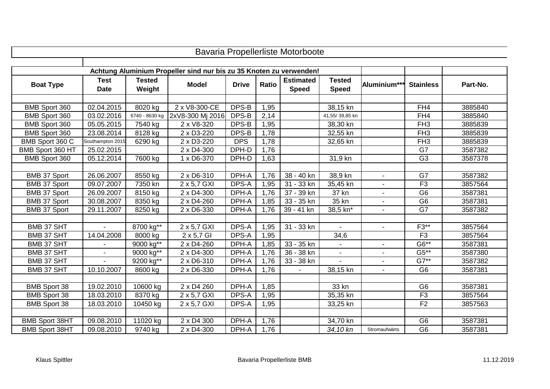| <b>Bavaria Propellerliste Motorboote</b> |                            |                         |                                                                     |              |              |                                  |                               |                |                  |          |  |  |
|------------------------------------------|----------------------------|-------------------------|---------------------------------------------------------------------|--------------|--------------|----------------------------------|-------------------------------|----------------|------------------|----------|--|--|
|                                          |                            |                         |                                                                     |              |              |                                  |                               |                |                  |          |  |  |
|                                          |                            |                         | Achtung Aluminium Propeller sind nur bis zu 35 Knoten zu verwenden! |              |              |                                  |                               |                |                  |          |  |  |
| <b>Boat Type</b>                         | <b>Test</b><br><b>Date</b> | <b>Tested</b><br>Weight | <b>Model</b>                                                        | <b>Drive</b> | <b>Ratio</b> | <b>Estimated</b><br><b>Speed</b> | <b>Tested</b><br><b>Speed</b> | Aluminium***   | <b>Stainless</b> | Part-No. |  |  |
|                                          |                            |                         |                                                                     |              |              |                                  |                               |                |                  |          |  |  |
| BMB Sport 360                            | 02.04.2015                 | 8020 kg                 | 2 x V8-300-CE                                                       | DPS-B        | 1,95         |                                  | 38,15 kn                      |                | FH4              | 3885840  |  |  |
| BMB Sport 360                            | 03.02.2016                 | 6740 - 8630 kg          | 2xV8-300 Mj 2016                                                    | DPS-B        | 2,14         |                                  | 41,55/39,85 kn                |                | FH4              | 3885840  |  |  |
| BMB Sport 360                            | 05.05.2015                 | 7540 kg                 | 2 x V8-320                                                          | DPS-B        | 1,95         |                                  | 38,30 kn                      |                | FH <sub>3</sub>  | 3885839  |  |  |
| BMB Sport 360                            | 23.08.2014                 | 8128 kg                 | 2 x D3-220                                                          | DPS-B        | 1,78         |                                  | 32,55 kn                      |                | FH <sub>3</sub>  | 3885839  |  |  |
| BMB Sport 360 C                          | Southampton 2015           | 6290 kg                 | 2 x D3-220                                                          | <b>DPS</b>   | 1,78         |                                  | 32,65 kn                      |                | FH <sub>3</sub>  | 3885839  |  |  |
| BMB Sport 360 HT                         | 25.02.2015                 |                         | 2 x D4-300                                                          | DPH-D        | 1,76         |                                  |                               |                | G7               | 3587382  |  |  |
| BMB Sport 360                            | 05.12.2014                 | 7600 kg                 | 1 x D6-370                                                          | DPH-D        | 1,63         |                                  | 31,9 kn                       |                | G <sub>3</sub>   | 3587378  |  |  |
|                                          |                            |                         |                                                                     |              |              |                                  |                               |                |                  |          |  |  |
| <b>BMB 37 Sport</b>                      | 26.06.2007                 | 8550 kg                 | 2 x D6-310                                                          | DPH-A        | 1,76         | 38 - 40 kn                       | 38,9 kn                       | $\sim$         | G7               | 3587382  |  |  |
| BMB 37 Sport                             | 09.07.2007                 | 7350 kn                 | 2 x 5,7 GXI                                                         | DPS-A        | 1,95         | 31 - 33 kn                       | 35,45 kn                      |                | F3               | 3857564  |  |  |
| <b>BMB 37 Sport</b>                      | 26.09.2007                 | 8150 kg                 | 2 x D4-300                                                          | DPH-A        | 1,76         | 37 - 39 kn                       | 37 kn                         |                | G <sub>6</sub>   | 3587381  |  |  |
| <b>BMB 37 Sport</b>                      | 30.08.2007                 | 8350 kg                 | 2 x D4-260                                                          | DPH-A        | 1,85         | 33 - 35 kn                       | 35 kn                         |                | G <sub>6</sub>   | 3587381  |  |  |
| <b>BMB 37 Sport</b>                      | 29.11.2007                 | 8250 kg                 | 2 x D6-330                                                          | DPH-A        | 1,76         | 39 - 41 kn                       | 38,5 kn*                      | $\sim$         | G7               | 3587382  |  |  |
|                                          |                            |                         |                                                                     |              |              |                                  |                               |                |                  |          |  |  |
| <b>BMB 37 SHT</b>                        |                            | 8700 kg**               | 2 x 5,7 GXI                                                         | DPS-A        | 1,95         | $31 - 33$ kn                     | $\mathbf{r}$                  | $\sim$         | $F3**$           | 3857564  |  |  |
| <b>BMB 37 SHT</b>                        | 14.04.2008                 | $8000$ kg               | 2 x 5,7 GI                                                          | DPS-A        | 1,95         |                                  | 34,6                          |                | F <sub>3</sub>   | 3857564  |  |  |
| BMB 37 SHT                               |                            | 9000 kg**               | 2 x D4-260                                                          | DPH-A        | 1,85         | 33 - 35 kn                       |                               | $\blacksquare$ | $G6***$          | 3587381  |  |  |
| BMB 37 SHT                               |                            | 9000 kg**               | 2 x D4-300                                                          | DPH-A        | 1,76         | 36 - 38 kn                       | ÷,                            |                | $G5**$           | 3587380  |  |  |
| BMB 37 SHT                               |                            | 9200 kg**               | 2 x D6-310                                                          | DPH-A        | 1,76         | 33 - 38 kn                       |                               |                | $G7**$           | 3587382  |  |  |
| BMB 37 SHT                               | 10.10.2007                 | 8600 kg                 | 2 x D6-330                                                          | DPH-A        | 1,76         |                                  | 38,15 kn                      |                | G <sub>6</sub>   | 3587381  |  |  |
|                                          |                            |                         |                                                                     |              |              |                                  |                               |                |                  |          |  |  |
| <b>BMB Sport 38</b>                      | 19.02.2010                 | 10600 kg                | 2 x D4 260                                                          | DPH-A        | 1,85         |                                  | 33 kn                         |                | G <sub>6</sub>   | 3587381  |  |  |
| <b>BMB Sport 38</b>                      | 18.03.2010                 | 8370 kg                 | 2 x 5,7 GXI                                                         | DPS-A        | 1,95         |                                  | 35,35 kn                      |                | F <sub>3</sub>   | 3857564  |  |  |
| <b>BMB Sport 38</b>                      | 18.03.2010                 | 10450 kg                | 2 x 5,7 GXI                                                         | DPS-A        | 1,95         |                                  | 33,25 kn                      |                | F <sub>2</sub>   | 3857563  |  |  |
|                                          |                            |                         |                                                                     |              |              |                                  |                               |                |                  |          |  |  |
| <b>BMB Sport 38HT</b>                    | 09.08.2010                 | 11020 kg                | 2 x D4 300                                                          | DPH-A        | 1,76         |                                  | 34,70 kn                      |                | G <sub>6</sub>   | 3587381  |  |  |
| <b>BMB Sport 38HT</b>                    | 09.08.2010                 | 9740 kg                 | 2 x D4-300                                                          | DPH-A        | 1,76         |                                  | 34,10 kn                      | Stromaufwärts  | G <sub>6</sub>   | 3587381  |  |  |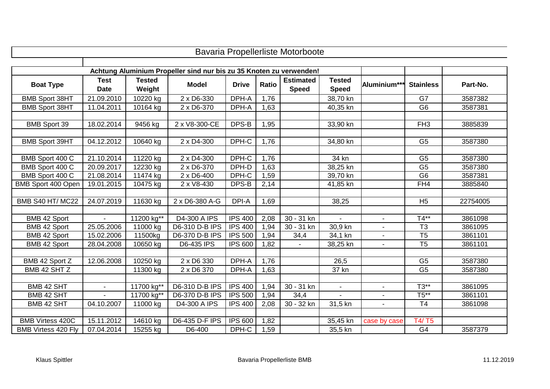| Bavaria Propellerliste Motorboote |                            |                         |                                                                     |                |       |                                  |                               |                |                      |          |  |
|-----------------------------------|----------------------------|-------------------------|---------------------------------------------------------------------|----------------|-------|----------------------------------|-------------------------------|----------------|----------------------|----------|--|
|                                   |                            |                         |                                                                     |                |       |                                  |                               |                |                      |          |  |
|                                   |                            |                         | Achtung Aluminium Propeller sind nur bis zu 35 Knoten zu verwenden! |                |       |                                  |                               |                |                      |          |  |
| <b>Boat Type</b>                  | <b>Test</b><br><b>Date</b> | <b>Tested</b><br>Weight | <b>Model</b>                                                        | <b>Drive</b>   | Ratio | <b>Estimated</b><br><b>Speed</b> | <b>Tested</b><br><b>Speed</b> | Aluminium***   | <b>Stainless</b>     | Part-No. |  |
| <b>BMB Sport 38HT</b>             | 21.09.2010                 | 10220 kg                | 2 x D6-330                                                          | DPH-A          | 1,76  |                                  | 38,70 kn                      |                | G7                   | 3587382  |  |
| <b>BMB Sport 38HT</b>             | 11.04.2011                 | 10164 kg                | 2 x D6-370                                                          | DPH-A          | 1,63  |                                  | 40,35 kn                      |                | G <sub>6</sub>       | 3587381  |  |
|                                   |                            |                         |                                                                     |                |       |                                  |                               |                |                      |          |  |
| <b>BMB</b> Sport 39               | 18.02.2014                 | 9456 kg                 | 2 x V8-300-CE                                                       | DPS-B          | 1,95  |                                  | 33,90 kn                      |                | FH <sub>3</sub>      | 3885839  |  |
| <b>BMB Sport 39HT</b>             | 04.12.2012                 | 10640 kg                | 2 x D4-300                                                          | DPH-C          | 1,76  |                                  | 34,80 kn                      |                | G <sub>5</sub>       | 3587380  |  |
| BMB Sport 400 C                   | 21.10.2014                 | 11220 kg                | 2 x D4-300                                                          | DPH-C          | 1,76  |                                  | 34 kn                         |                | G <sub>5</sub>       | 3587380  |  |
| BMB Sport 400 C                   | 20.09.2017                 | 12230 kg                | 2 x D6-370                                                          | DPH-D          | 1,63  |                                  | 38,25 kn                      |                | G <sub>5</sub>       | 3587380  |  |
| BMB Sport 400 C                   | 21.08.2014                 | 11474 kg                | 2 x D6-400                                                          | DPH-C          | 1,59  |                                  | 39,70 kn                      |                | G <sub>6</sub>       | 3587381  |  |
| BMB Sport 400 Open                | 19.01.2015                 | 10475 kg                | 2 x V8-430                                                          | DPS-B          | 2,14  |                                  | 41,85 kn                      |                | FH4                  | 3885840  |  |
|                                   |                            |                         |                                                                     |                |       |                                  |                               |                |                      |          |  |
| <b>BMB S40 HT/ MC22</b>           | 24.07.2019                 | 11630 kg                | 2 x D6-380 A-G                                                      | DPI-A          | 1,69  |                                  | 38,25                         |                | H <sub>5</sub>       | 22754005 |  |
|                                   |                            |                         |                                                                     |                |       |                                  |                               |                |                      |          |  |
| BMB 42 Sport                      | $\sim$                     | 11200 kg**              | D4-300 A IPS                                                        | <b>IPS 400</b> | 2,08  | 30 - 31 kn                       | $\sim$                        | $\sim$         | $T4**$               | 3861098  |  |
| BMB 42 Sport                      | 25.05.2006                 | 11000 kg                | D6-310 D-B IPS                                                      | <b>IPS 400</b> | 1,94  | 30 - 31 kn                       | 30,9 kn                       |                | T3                   | 3861095  |  |
| BMB 42 Sport                      | 15.02.2006                 | 11500kg                 | D6-370 D-B IPS                                                      | <b>IPS 500</b> | 1,94  | 34,4                             | 34,1 kn                       |                | $\overline{75}$      | 3861101  |  |
| BMB 42 Sport                      | 28.04.2008                 | 10650 kg                | D6-435 IPS                                                          | <b>IPS 600</b> | 1,82  |                                  | 38,25 kn                      |                | $\overline{75}$      | 3861101  |  |
|                                   |                            |                         |                                                                     |                |       |                                  |                               |                |                      |          |  |
| BMB 42 Sport Z                    | 12.06.2008                 | 10250 kg                | 2 x D6 330                                                          | DPH-A          | 1,76  |                                  | 26,5                          |                | G <sub>5</sub>       | 3587380  |  |
| BMB 42 SHT Z                      |                            | 11300 kg                | 2 x D6 370                                                          | DPH-A          | 1,63  |                                  | 37 kn                         |                | G <sub>5</sub>       | 3587380  |  |
| BMB 42 SHT                        | $\blacksquare$             | 11700 kg**              | D6-310 D-B IPS                                                      | <b>IPS 400</b> | 1,94  | 30 - 31 kn                       | $\blacksquare$                | $\blacksquare$ | $\overline{T3^{**}}$ | 3861095  |  |
| BMB 42 SHT                        |                            | 11700 kg**              | D6-370 D-B IPS                                                      | <b>IPS 500</b> | 1,94  | 34,4                             |                               |                | $T5**$               | 3861101  |  |
| BMB 42 SHT                        | 04.10.2007                 | 11000 kg                | D4-300 A IPS                                                        | <b>IPS 400</b> | 2,08  | 30 - 32 kn                       | 31,5 kn                       | ÷.             | T <sub>4</sub>       | 3861098  |  |
|                                   |                            |                         |                                                                     |                |       |                                  |                               |                |                      |          |  |
| <b>BMB Virtess 420C</b>           | 15.11.2012                 | 14610 kg                | D6-435 D-F IPS                                                      | <b>IPS 600</b> | 1,82  |                                  | 35,45 kn                      | case by case   | T4/T5                |          |  |
| <b>BMB Virtess 420 Fly</b>        | 07.04.2014                 | 15255 kg                | D6-400                                                              | DPH-C          | 1,59  |                                  | 35,5 kn                       |                | G4                   | 3587379  |  |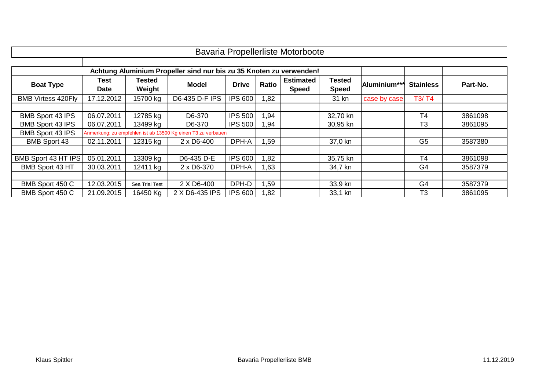| <b>Bavaria Propellerliste Motorboote</b> |                                                                     |                  |                                                              |                |              |                                  |                        |              |                  |          |  |  |
|------------------------------------------|---------------------------------------------------------------------|------------------|--------------------------------------------------------------|----------------|--------------|----------------------------------|------------------------|--------------|------------------|----------|--|--|
|                                          |                                                                     |                  |                                                              |                |              |                                  |                        |              |                  |          |  |  |
|                                          | Achtung Aluminium Propeller sind nur bis zu 35 Knoten zu verwenden! |                  |                                                              |                |              |                                  |                        |              |                  |          |  |  |
| <b>Boat Type</b>                         | Test<br><b>Date</b>                                                 | Tested<br>Weight | <b>Model</b>                                                 | <b>Drive</b>   | <b>Ratio</b> | <b>Estimated</b><br><b>Speed</b> | Tested<br><b>Speed</b> | Aluminium*** | <b>Stainless</b> | Part-No. |  |  |
| <b>BMB Virtess 420Fly</b>                | 17.12.2012                                                          | 15700 kg         | D6-435 D-F IPS                                               | <b>IPS 600</b> | 1,82         |                                  | 31 kn                  | case by case | T3/T4            |          |  |  |
|                                          |                                                                     |                  |                                                              |                |              |                                  |                        |              |                  |          |  |  |
| BMB Sport 43 IPS                         | 06.07.2011                                                          | 12785 kg         | D6-370                                                       | <b>IPS 500</b> | 1,94         |                                  | 32,70 kn               |              | T4               | 3861098  |  |  |
| <b>BMB Sport 43 IPS</b>                  | 06.07.2011                                                          | 13499 kg         | D6-370                                                       | <b>IPS 500</b> | 1,94         |                                  | 30,95 kn               |              | T <sub>3</sub>   | 3861095  |  |  |
| <b>BMB Sport 43 IPS</b>                  |                                                                     |                  | Anmerkung: zu empfehlen ist ab 13500 Kg einen T3 zu verbauen |                |              |                                  |                        |              |                  |          |  |  |
| <b>BMB Sport 43</b>                      | 02.11.2011                                                          | 12315 kg         | $2 \times D6 - 400$                                          | DPH-A          | 1,59         |                                  | 37,0 kn                |              | G <sub>5</sub>   | 3587380  |  |  |
|                                          |                                                                     |                  |                                                              |                |              |                                  |                        |              |                  |          |  |  |
| <b>BMB Sport 43 HT IPS</b>               | 05.01.2011                                                          | 13309 kg         | D6-435 D-E                                                   | <b>IPS 600</b> | 1,82         |                                  | 35,75 kn               |              | T <sub>4</sub>   | 3861098  |  |  |
| BMB Sport 43 HT                          | 30.03.2011                                                          | 12411 kg         | 2 x D6-370                                                   | DPH-A          | 1,63         |                                  | 34,7 kn                |              | G4               | 3587379  |  |  |
|                                          |                                                                     |                  |                                                              |                |              |                                  |                        |              |                  |          |  |  |
| BMB Sport 450 C                          | 12.03.2015                                                          | Sea Trial Test   | 2 X D6-400                                                   | DPH-D          | 1,59         |                                  | 33,9 kn                |              | G4               | 3587379  |  |  |
| BMB Sport 450 C                          | 21.09.2015                                                          | 16450 Kg         | 2 X D6-435 IPS                                               | <b>IPS 600</b> | 1,82         |                                  | 33,1 kn                |              | T3               | 3861095  |  |  |